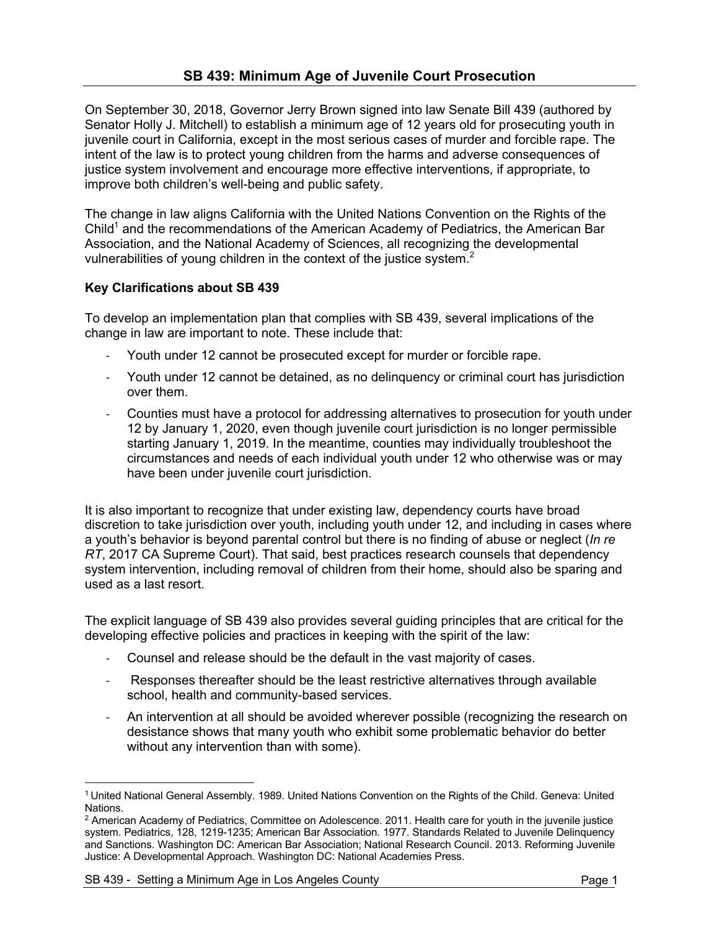On September 30, 2018, Governor Jerry Brown signed into law Senate Bill 439 (authored by Senator Holly J. Mitchell) to establish a minimum age of 12 years old for prosecuting youth in juvenile court in California, except in the most serious cases of murder and forcible rape. The intent of the law is to protect young children from the harms and adverse consequences of justice system involvement and encourage more effective interventions, if appropriate, to improve both children's well-being and public safety.

The change in law aligns California with the United Nations Convention on the Rights of the Child<sup>1</sup> and the recommendations of the American Academy of Pediatrics, the American Bar Association, and the National Academy of Sciences, all recognizing the developmental vulnerabilities of young children in the context of the justice system.<sup>2</sup>

## **Key Clarifications about SB 439**

To develop an implementation plan that complies with SB 439, several implications of the change in law are important to note. These include that:

- Youth under 12 cannot be prosecuted except for murder or forcible rape.
- Youth under 12 cannot be detained, as no delinquency or criminal court has jurisdiction over them.
- Counties must have a protocol for addressing alternatives to prosecution for youth under 12 by January 1, 2020, even though juvenile court jurisdiction is no longer permissible starting January 1, 2019. In the meantime, counties may individually troubleshoot the circumstances and needs of each individual youth under 12 who otherwise was or may have been under juvenile court jurisdiction.

It is also important to recognize that under existing law, dependency courts have broad discretion to take jurisdiction over youth, including youth under 12, and including in cases where a youth's behavior is beyond parental control but there is no finding of abuse or neglect (*In re RT*, 2017 CA Supreme Court). That said, best practices research counsels that dependency system intervention, including removal of children from their home, should also be sparing and used as a last resort.

The explicit language of SB 439 also provides several guiding principles that are critical for the developing effective policies and practices in keeping with the spirit of the law:

- Counsel and release should be the default in the vast majority of cases.
- Responses thereafter should be the least restrictive alternatives through available school, health and community-based services.
- An intervention at all should be avoided wherever possible (recognizing the research on desistance shows that many youth who exhibit some problematic behavior do better without any intervention than with some).

 $\overline{a}$ <sup>1</sup> United National General Assembly. 1989. United Nations Convention on the Rights of the Child. Geneva: United Nations.

<sup>&</sup>lt;sup>2</sup> American Academy of Pediatrics, Committee on Adolescence. 2011. Health care for youth in the juvenile justice system. Pediatrics, 128, 1219-1235; American Bar Association. 1977. Standards Related to Juvenile Delinquency and Sanctions. Washington DC: American Bar Association; National Research Council. 2013. Reforming Juvenile Justice: A Developmental Approach. Washington DC: National Academies Press.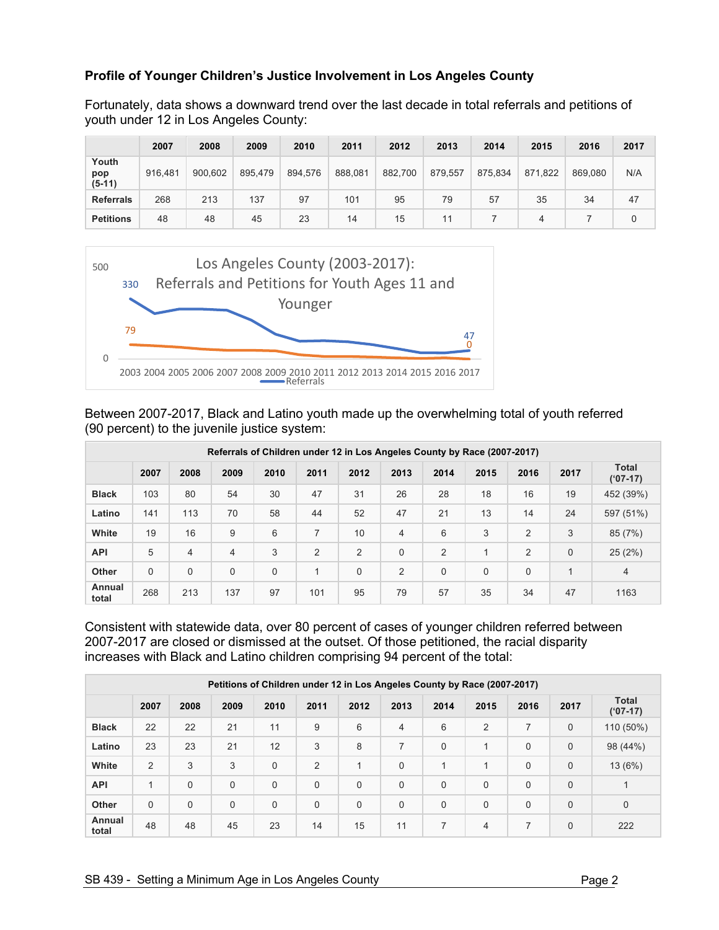## **Profile of Younger Children's Justice Involvement in Los Angeles County**

Fortunately, data shows a downward trend over the last decade in total referrals and petitions of youth under 12 in Los Angeles County:

|                          | 2007    | 2008    | 2009    | 2010    | 2011    | 2012    | 2013    | 2014    | 2015    | 2016    | 2017     |
|--------------------------|---------|---------|---------|---------|---------|---------|---------|---------|---------|---------|----------|
| Youth<br>pop<br>$(5-11)$ | 916.481 | 900.602 | 895.479 | 894.576 | 888,081 | 882,700 | 879,557 | 875,834 | 871,822 | 869,080 | N/A      |
| <b>Referrals</b>         | 268     | 213     | 137     | 97      | 101     | 95      | 79      | 57      | 35      | 34      | 47       |
| <b>Petitions</b>         | 48      | 48      | 45      | 23      | 14      | 15      | 11      |         | 4       |         | $\Omega$ |



Between 2007-2017, Black and Latino youth made up the overwhelming total of youth referred (90 percent) to the juvenile justice system:

| Referrals of Children under 12 in Los Angeles County by Race (2007-2017) |             |          |      |             |                |             |          |             |      |             |              |                    |
|--------------------------------------------------------------------------|-------------|----------|------|-------------|----------------|-------------|----------|-------------|------|-------------|--------------|--------------------|
|                                                                          | 2007        | 2008     | 2009 | 2010        | 2011           | 2012        | 2013     | 2014        | 2015 | 2016        | 2017         | Total<br>$(97-17)$ |
| <b>Black</b>                                                             | 103         | 80       | 54   | 30          | 47             | 31          | 26       | 28          | 18   | 16          | 19           | 452 (39%)          |
| Latino                                                                   | 141         | 113      | 70   | 58          | 44             | 52          | 47       | 21          | 13   | 14          | 24           | 597 (51%)          |
| White                                                                    | 19          | 16       | 9    | 6           | 7              | 10          | 4        | 6           | 3    | 2           | 3            | 85 (7%)            |
| <b>API</b>                                                               | 5           | 4        | 4    | 3           | $\overline{2}$ | 2           | $\Omega$ | 2           | 1    | 2           | 0            | 25(2%)             |
| <b>Other</b>                                                             | $\mathbf 0$ | $\Omega$ | 0    | $\mathbf 0$ | 1              | $\mathbf 0$ | 2        | $\mathbf 0$ | 0    | $\mathbf 0$ | $\mathbf{1}$ | $\overline{4}$     |
| Annual<br>total                                                          | 268         | 213      | 137  | 97          | 101            | 95          | 79       | 57          | 35   | 34          | 47           | 1163               |

Consistent with statewide data, over 80 percent of cases of younger children referred between 2007-2017 are closed or dismissed at the outset. Of those petitioned, the racial disparity increases with Black and Latino children comprising 94 percent of the total:

| Petitions of Children under 12 in Los Angeles County by Race (2007-2017) |             |          |      |             |             |             |          |             |              |             |          |                           |
|--------------------------------------------------------------------------|-------------|----------|------|-------------|-------------|-------------|----------|-------------|--------------|-------------|----------|---------------------------|
|                                                                          | 2007        | 2008     | 2009 | 2010        | 2011        | 2012        | 2013     | 2014        | 2015         | 2016        | 2017     | <b>Total</b><br>$(97-17)$ |
| <b>Black</b>                                                             | 22          | 22       | 21   | 11          | 9           | 6           | 4        | 6           | 2            | 7           | $\Omega$ | 110 (50%)                 |
| Latino                                                                   | 23          | 23       | 21   | 12          | 3           | 8           | 7        | $\mathbf 0$ | 1            | $\mathbf 0$ | 0        | 98 (44%)                  |
| White                                                                    | 2           | 3        | 3    | $\Omega$    | 2           | 1           | $\Omega$ | 1           | $\mathbf{1}$ | $\mathbf 0$ | $\Omega$ | 13 (6%)                   |
| <b>API</b>                                                               | 1           | $\Omega$ | 0    | $\mathbf 0$ | $\mathbf 0$ | $\Omega$    | 0        | $\mathbf 0$ | 0            | $\mathbf 0$ | 0        | 1                         |
| <b>Other</b>                                                             | $\mathbf 0$ | $\Omega$ | 0    | $\mathbf 0$ | $\mathbf 0$ | $\mathbf 0$ | 0        | $\mathbf 0$ | 0            | $\mathbf 0$ | $\Omega$ | $\mathbf 0$               |
| Annual<br>total                                                          | 48          | 48       | 45   | 23          | 14          | 15          | 11       | 7           | 4            | 7           | $\Omega$ | 222                       |